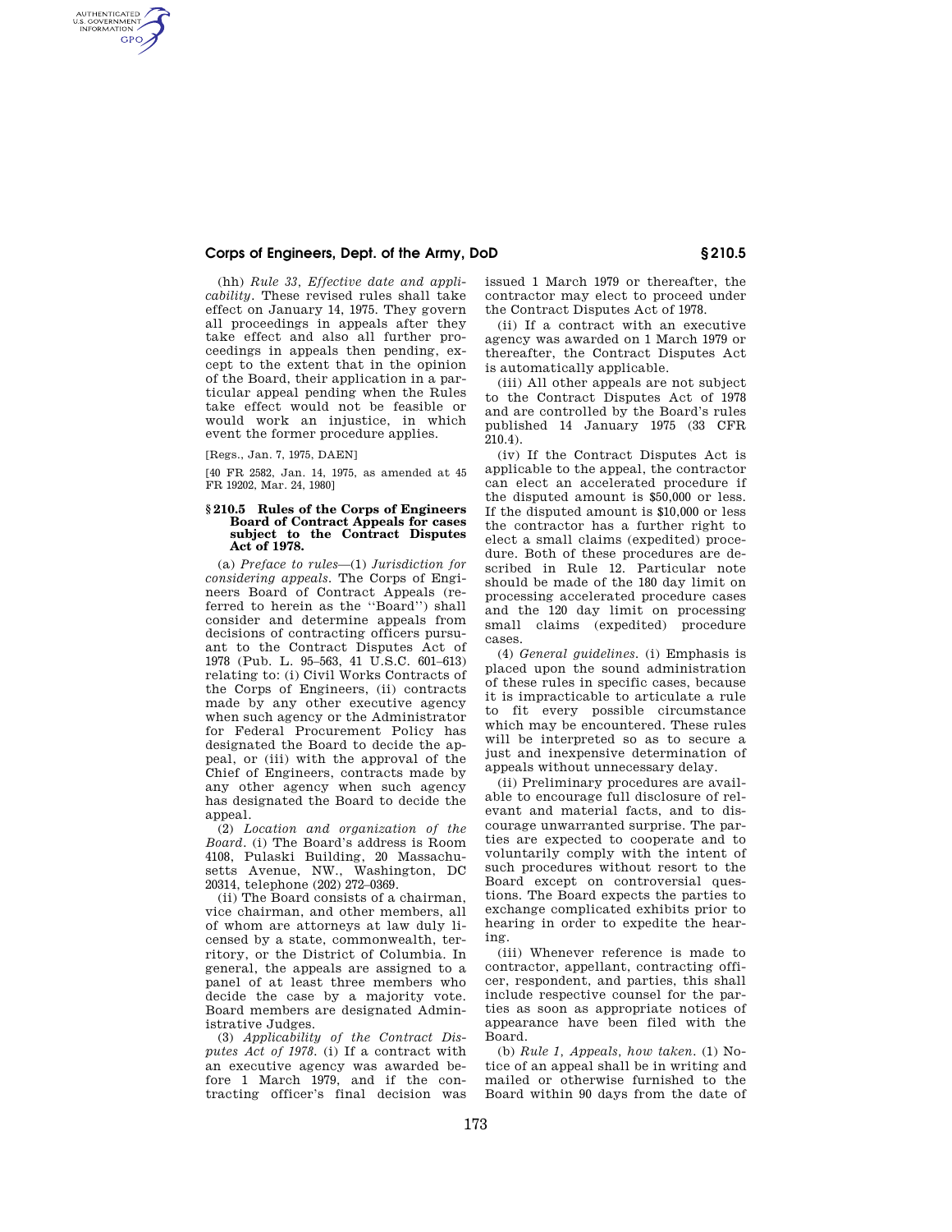(hh) *Rule 33, Effective date and applicability.* These revised rules shall take effect on January 14, 1975. They govern all proceedings in appeals after they take effect and also all further proceedings in appeals then pending, except to the extent that in the opinion of the Board, their application in a particular appeal pending when the Rules take effect would not be feasible or would work an injustice, in which event the former procedure applies.

[Regs., Jan. 7, 1975, DAEN]

AUTHENTICATED<br>U.S. GOVERNMENT<br>INFORMATION **GPO** 

> [40 FR 2582, Jan. 14, 1975, as amended at 45 FR 19202, Mar. 24, 1980]

#### **§ 210.5 Rules of the Corps of Engineers Board of Contract Appeals for cases subject to the Contract Disputes Act of 1978.**

(a) *Preface to rules*—(1) *Jurisdiction for considering appeals.* The Corps of Engineers Board of Contract Appeals (referred to herein as the ''Board'') shall consider and determine appeals from decisions of contracting officers pursuant to the Contract Disputes Act of 1978 (Pub. L. 95–563, 41 U.S.C. 601–613) relating to: (i) Civil Works Contracts of the Corps of Engineers, (ii) contracts made by any other executive agency when such agency or the Administrator for Federal Procurement Policy has designated the Board to decide the appeal, or (iii) with the approval of the Chief of Engineers, contracts made by any other agency when such agency has designated the Board to decide the appeal.

(2) *Location and organization of the Board.* (i) The Board's address is Room 4108, Pulaski Building, 20 Massachusetts Avenue, NW., Washington, DC 20314, telephone (202) 272–0369.

(ii) The Board consists of a chairman, vice chairman, and other members, all of whom are attorneys at law duly licensed by a state, commonwealth, territory, or the District of Columbia. In general, the appeals are assigned to a panel of at least three members who decide the case by a majority vote. Board members are designated Administrative Judges.

(3) *Applicability of the Contract Disputes Act of 1978.* (i) If a contract with an executive agency was awarded before 1 March 1979, and if the contracting officer's final decision was issued 1 March 1979 or thereafter, the contractor may elect to proceed under the Contract Disputes Act of 1978.

(ii) If a contract with an executive agency was awarded on 1 March 1979 or thereafter, the Contract Disputes Act is automatically applicable.

(iii) All other appeals are not subject to the Contract Disputes Act of 1978 and are controlled by the Board's rules published 14 January 1975 (33 CFR 210.4).

(iv) If the Contract Disputes Act is applicable to the appeal, the contractor can elect an accelerated procedure if the disputed amount is \$50,000 or less. If the disputed amount is \$10,000 or less the contractor has a further right to elect a small claims (expedited) procedure. Both of these procedures are described in Rule 12. Particular note should be made of the 180 day limit on processing accelerated procedure cases and the 120 day limit on processing small claims (expedited) procedure cases.

(4) *General guidelines.* (i) Emphasis is placed upon the sound administration of these rules in specific cases, because it is impracticable to articulate a rule to fit every possible circumstance which may be encountered. These rules will be interpreted so as to secure a just and inexpensive determination of appeals without unnecessary delay.

(ii) Preliminary procedures are available to encourage full disclosure of relevant and material facts, and to discourage unwarranted surprise. The parties are expected to cooperate and to voluntarily comply with the intent of such procedures without resort to the Board except on controversial questions. The Board expects the parties to exchange complicated exhibits prior to hearing in order to expedite the hearing.

(iii) Whenever reference is made to contractor, appellant, contracting officer, respondent, and parties, this shall include respective counsel for the parties as soon as appropriate notices of appearance have been filed with the Board.

(b) *Rule 1, Appeals, how taken.* (1) Notice of an appeal shall be in writing and mailed or otherwise furnished to the Board within 90 days from the date of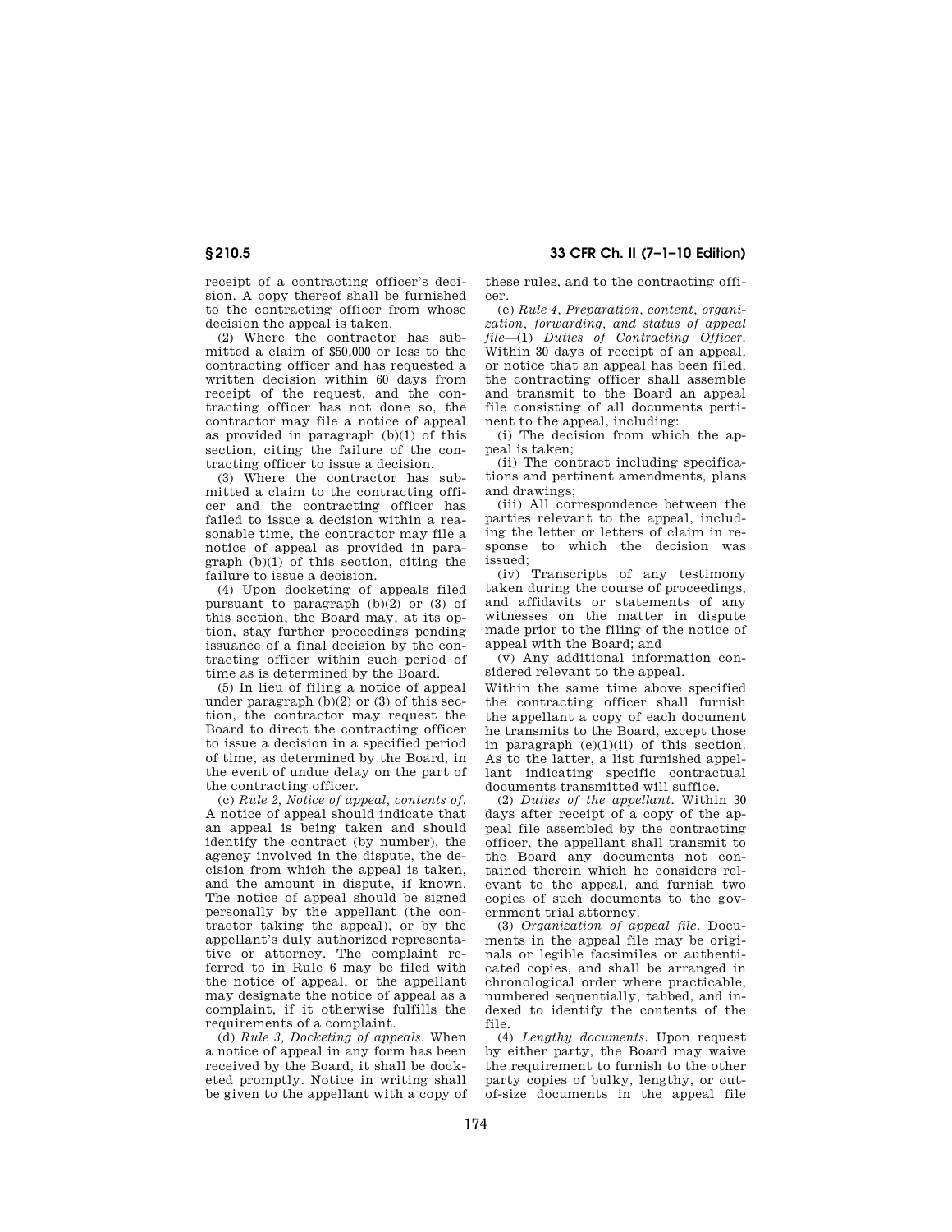receipt of a contracting officer's decision. A copy thereof shall be furnished to the contracting officer from whose decision the appeal is taken.

(2) Where the contractor has submitted a claim of \$50,000 or less to the contracting officer and has requested a written decision within 60 days from receipt of the request, and the contracting officer has not done so, the contractor may file a notice of appeal as provided in paragraph (b)(1) of this section, citing the failure of the contracting officer to issue a decision.

(3) Where the contractor has submitted a claim to the contracting officer and the contracting officer has failed to issue a decision within a reasonable time, the contractor may file a notice of appeal as provided in paragraph (b)(1) of this section, citing the failure to issue a decision.

(4) Upon docketing of appeals filed pursuant to paragraph  $(b)(2)$  or  $(3)$  of this section, the Board may, at its option, stay further proceedings pending issuance of a final decision by the contracting officer within such period of time as is determined by the Board.

(5) In lieu of filing a notice of appeal under paragraph (b)(2) or (3) of this section, the contractor may request the Board to direct the contracting officer to issue a decision in a specified period of time, as determined by the Board, in the event of undue delay on the part of the contracting officer.

(c) *Rule 2, Notice of appeal, contents of.*  A notice of appeal should indicate that an appeal is being taken and should identify the contract (by number), the agency involved in the dispute, the decision from which the appeal is taken, and the amount in dispute, if known. The notice of appeal should be signed personally by the appellant (the contractor taking the appeal), or by the appellant's duly authorized representative or attorney. The complaint referred to in Rule 6 may be filed with the notice of appeal, or the appellant may designate the notice of appeal as a complaint, if it otherwise fulfills the requirements of a complaint.

(d) *Rule 3, Docketing of appeals.* When a notice of appeal in any form has been received by the Board, it shall be docketed promptly. Notice in writing shall be given to the appellant with a copy of these rules, and to the contracting officer.

(e) *Rule 4, Preparation, content, organization, forwarding, and status of appeal file*—(1) *Duties of Contracting Officer.*  Within 30 days of receipt of an appeal, or notice that an appeal has been filed, the contracting officer shall assemble and transmit to the Board an appeal file consisting of all documents pertinent to the appeal, including:

(i) The decision from which the appeal is taken;

(ii) The contract including specifications and pertinent amendments, plans and drawings;

(iii) All correspondence between the parties relevant to the appeal, including the letter or letters of claim in response to which the decision was issued;

(iv) Transcripts of any testimony taken during the course of proceedings, and affidavits or statements of any witnesses on the matter in dispute made prior to the filing of the notice of appeal with the Board; and

(v) Any additional information considered relevant to the appeal.

Within the same time above specified the contracting officer shall furnish the appellant a copy of each document he transmits to the Board, except those in paragraph  $(e)(1)(ii)$  of this section. As to the latter, a list furnished appellant indicating specific contractual documents transmitted will suffice.

(2) *Duties of the appellant.* Within 30 days after receipt of a copy of the appeal file assembled by the contracting officer, the appellant shall transmit to the Board any documents not contained therein which he considers relevant to the appeal, and furnish two copies of such documents to the government trial attorney.

(3) *Organization of appeal file.* Documents in the appeal file may be originals or legible facsimiles or authenticated copies, and shall be arranged in chronological order where practicable, numbered sequentially, tabbed, and indexed to identify the contents of the file.

(4) *Lengthy documents.* Upon request by either party, the Board may waive the requirement to furnish to the other party copies of bulky, lengthy, or outof-size documents in the appeal file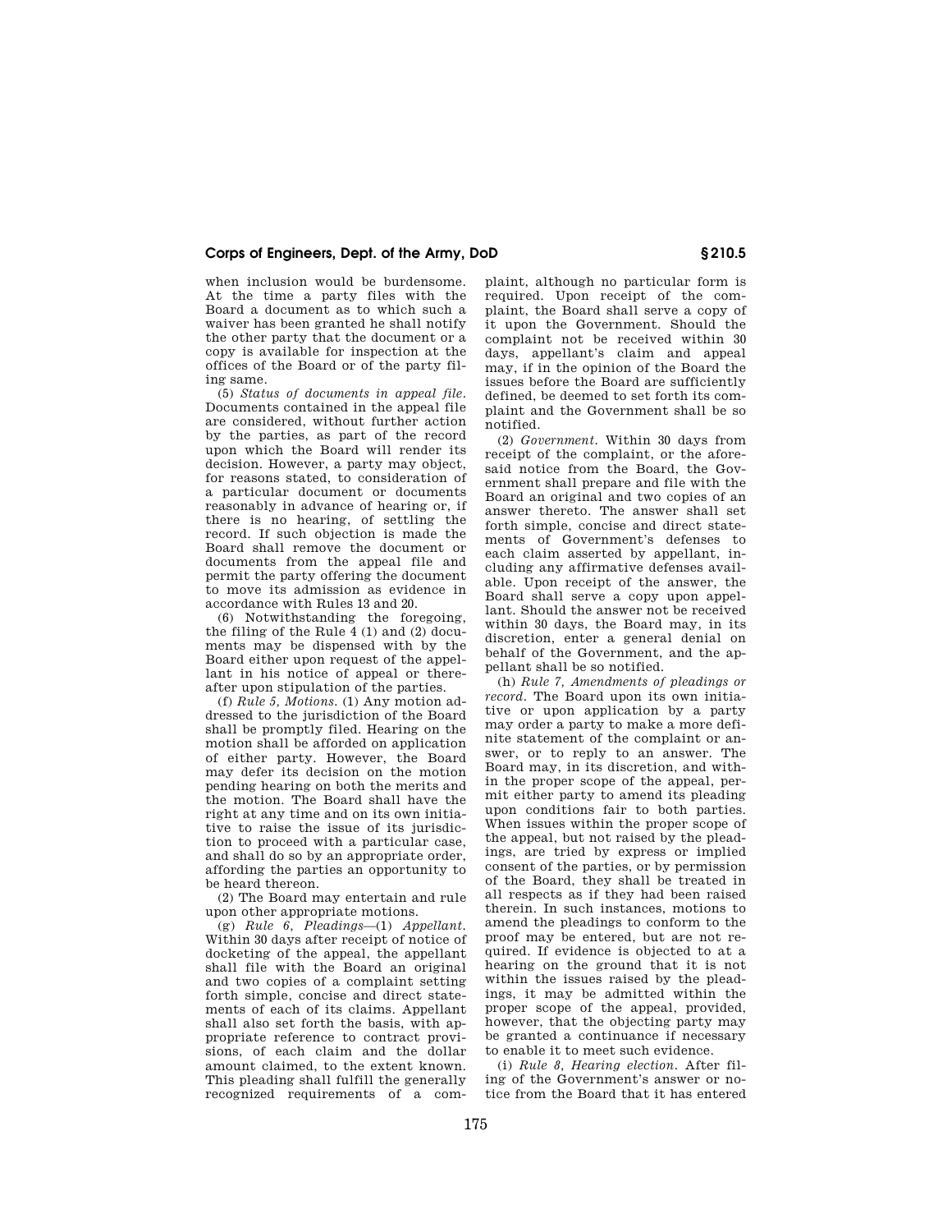when inclusion would be burdensome. At the time a party files with the Board a document as to which such a waiver has been granted he shall notify the other party that the document or a copy is available for inspection at the offices of the Board or of the party filing same.

(5) *Status of documents in appeal file.*  Documents contained in the appeal file are considered, without further action by the parties, as part of the record upon which the Board will render its decision. However, a party may object, for reasons stated, to consideration of a particular document or documents reasonably in advance of hearing or, if there is no hearing, of settling the record. If such objection is made the Board shall remove the document or documents from the appeal file and permit the party offering the document to move its admission as evidence in accordance with Rules 13 and 20.

(6) Notwithstanding the foregoing, the filing of the Rule 4 (1) and (2) documents may be dispensed with by the Board either upon request of the appellant in his notice of appeal or thereafter upon stipulation of the parties.

(f) *Rule 5, Motions.* (1) Any motion addressed to the jurisdiction of the Board shall be promptly filed. Hearing on the motion shall be afforded on application of either party. However, the Board may defer its decision on the motion pending hearing on both the merits and the motion. The Board shall have the right at any time and on its own initiative to raise the issue of its jurisdiction to proceed with a particular case, and shall do so by an appropriate order, affording the parties an opportunity to be heard thereon.

(2) The Board may entertain and rule upon other appropriate motions.

(g) *Rule 6, Pleadings*—(1) *Appellant.*  Within 30 days after receipt of notice of docketing of the appeal, the appellant shall file with the Board an original and two copies of a complaint setting forth simple, concise and direct statements of each of its claims. Appellant shall also set forth the basis, with appropriate reference to contract provisions, of each claim and the dollar amount claimed, to the extent known. This pleading shall fulfill the generally recognized requirements of a com-

plaint, although no particular form is required. Upon receipt of the complaint, the Board shall serve a copy of it upon the Government. Should the complaint not be received within 30 days, appellant's claim and appeal may, if in the opinion of the Board the issues before the Board are sufficiently defined, be deemed to set forth its complaint and the Government shall be so notified.

(2) *Government.* Within 30 days from receipt of the complaint, or the aforesaid notice from the Board, the Government shall prepare and file with the Board an original and two copies of an answer thereto. The answer shall set forth simple, concise and direct statements of Government's defenses to each claim asserted by appellant, including any affirmative defenses available. Upon receipt of the answer, the Board shall serve a copy upon appellant. Should the answer not be received within 30 days, the Board may, in its discretion, enter a general denial on behalf of the Government, and the appellant shall be so notified.

(h) *Rule 7, Amendments of pleadings or record.* The Board upon its own initiative or upon application by a party may order a party to make a more definite statement of the complaint or answer, or to reply to an answer. The Board may, in its discretion, and within the proper scope of the appeal, permit either party to amend its pleading upon conditions fair to both parties. When issues within the proper scope of the appeal, but not raised by the pleadings, are tried by express or implied consent of the parties, or by permission of the Board, they shall be treated in all respects as if they had been raised therein. In such instances, motions to amend the pleadings to conform to the proof may be entered, but are not required. If evidence is objected to at a hearing on the ground that it is not within the issues raised by the pleadings, it may be admitted within the proper scope of the appeal, provided, however, that the objecting party may be granted a continuance if necessary to enable it to meet such evidence.

(i) *Rule 8, Hearing election.* After filing of the Government's answer or notice from the Board that it has entered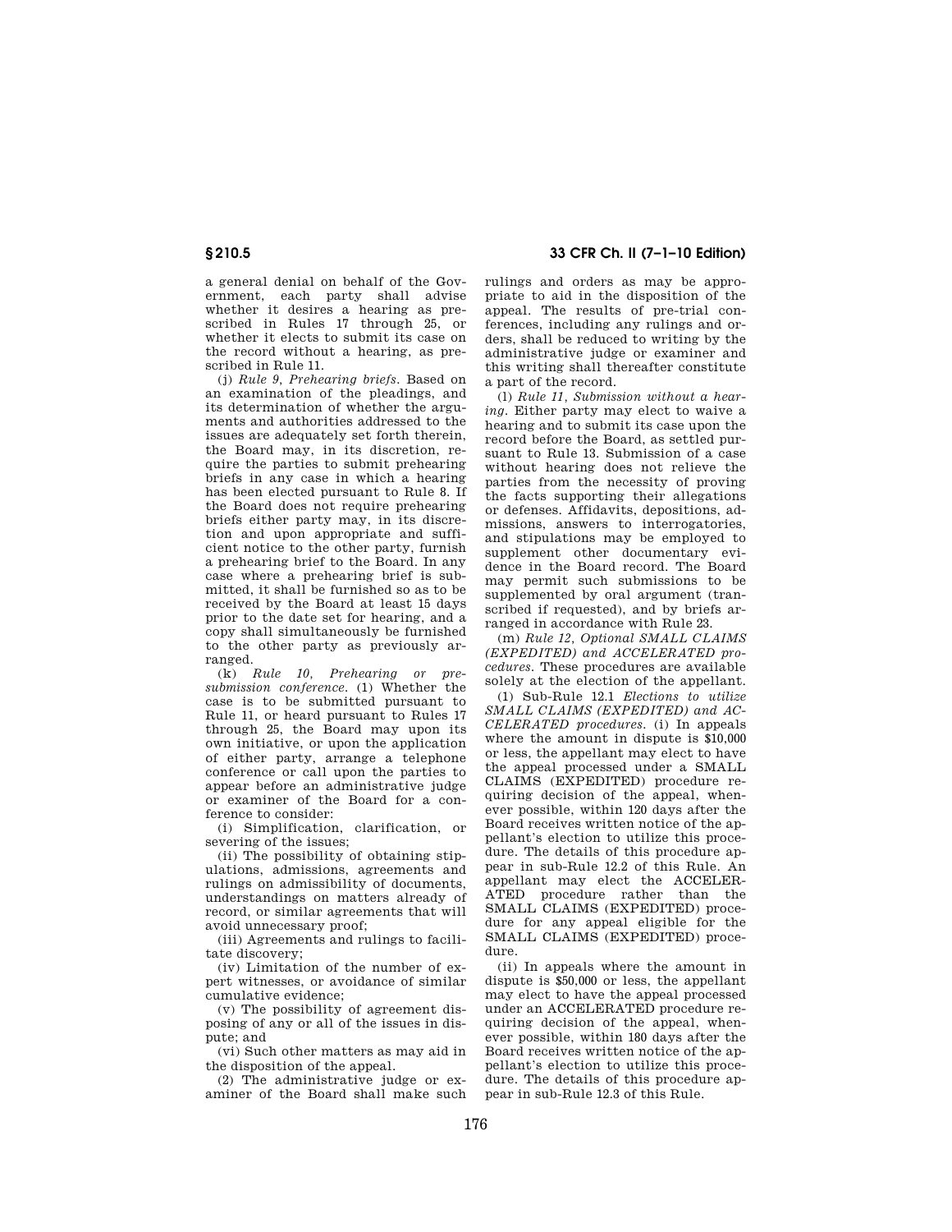a general denial on behalf of the Government, each party shall advise whether it desires a hearing as prescribed in Rules 17 through 25, or whether it elects to submit its case on the record without a hearing, as prescribed in Rule 11.

(j) *Rule 9, Prehearing briefs.* Based on an examination of the pleadings, and its determination of whether the arguments and authorities addressed to the issues are adequately set forth therein, the Board may, in its discretion, require the parties to submit prehearing briefs in any case in which a hearing has been elected pursuant to Rule 8. If the Board does not require prehearing briefs either party may, in its discretion and upon appropriate and sufficient notice to the other party, furnish a prehearing brief to the Board. In any case where a prehearing brief is submitted, it shall be furnished so as to be received by the Board at least 15 days prior to the date set for hearing, and a copy shall simultaneously be furnished to the other party as previously arranged.

(k) *Rule 10, Prehearing or presubmission conference.* (1) Whether the case is to be submitted pursuant to Rule 11, or heard pursuant to Rules 17 through 25, the Board may upon its own initiative, or upon the application of either party, arrange a telephone conference or call upon the parties to appear before an administrative judge or examiner of the Board for a conference to consider:

(i) Simplification, clarification, or severing of the issues;

(ii) The possibility of obtaining stipulations, admissions, agreements and rulings on admissibility of documents, understandings on matters already of record, or similar agreements that will avoid unnecessary proof;

(iii) Agreements and rulings to facilitate discovery;

(iv) Limitation of the number of expert witnesses, or avoidance of similar cumulative evidence;

(v) The possibility of agreement disposing of any or all of the issues in dispute; and

(vi) Such other matters as may aid in the disposition of the appeal.

(2) The administrative judge or examiner of the Board shall make such

**§ 210.5 33 CFR Ch. II (7–1–10 Edition)** 

rulings and orders as may be appropriate to aid in the disposition of the appeal. The results of pre-trial conferences, including any rulings and orders, shall be reduced to writing by the administrative judge or examiner and this writing shall thereafter constitute a part of the record.

(l) *Rule 11, Submission without a hearing.* Either party may elect to waive a hearing and to submit its case upon the record before the Board, as settled pursuant to Rule 13. Submission of a case without hearing does not relieve the parties from the necessity of proving the facts supporting their allegations or defenses. Affidavits, depositions, admissions, answers to interrogatories, and stipulations may be employed to supplement other documentary evidence in the Board record. The Board may permit such submissions to be supplemented by oral argument (transcribed if requested), and by briefs arranged in accordance with Rule 23.

(m) *Rule 12, Optional SMALL CLAIMS (EXPEDITED) and ACCELERATED procedures.* These procedures are available solely at the election of the appellant.

(1) Sub-Rule 12.1 *Elections to utilize SMALL CLAIMS (EXPEDITED) and AC-CELERATED procedures.* (i) In appeals where the amount in dispute is \$10,000 or less, the appellant may elect to have the appeal processed under a SMALL CLAIMS (EXPEDITED) procedure requiring decision of the appeal, whenever possible, within 120 days after the Board receives written notice of the appellant's election to utilize this procedure. The details of this procedure appear in sub-Rule 12.2 of this Rule. An appellant may elect the ACCELER-ATED procedure rather than the SMALL CLAIMS (EXPEDITED) procedure for any appeal eligible for the SMALL CLAIMS (EXPEDITED) procedure.

(ii) In appeals where the amount in dispute is \$50,000 or less, the appellant may elect to have the appeal processed under an ACCELERATED procedure requiring decision of the appeal, whenever possible, within 180 days after the Board receives written notice of the appellant's election to utilize this procedure. The details of this procedure appear in sub-Rule 12.3 of this Rule.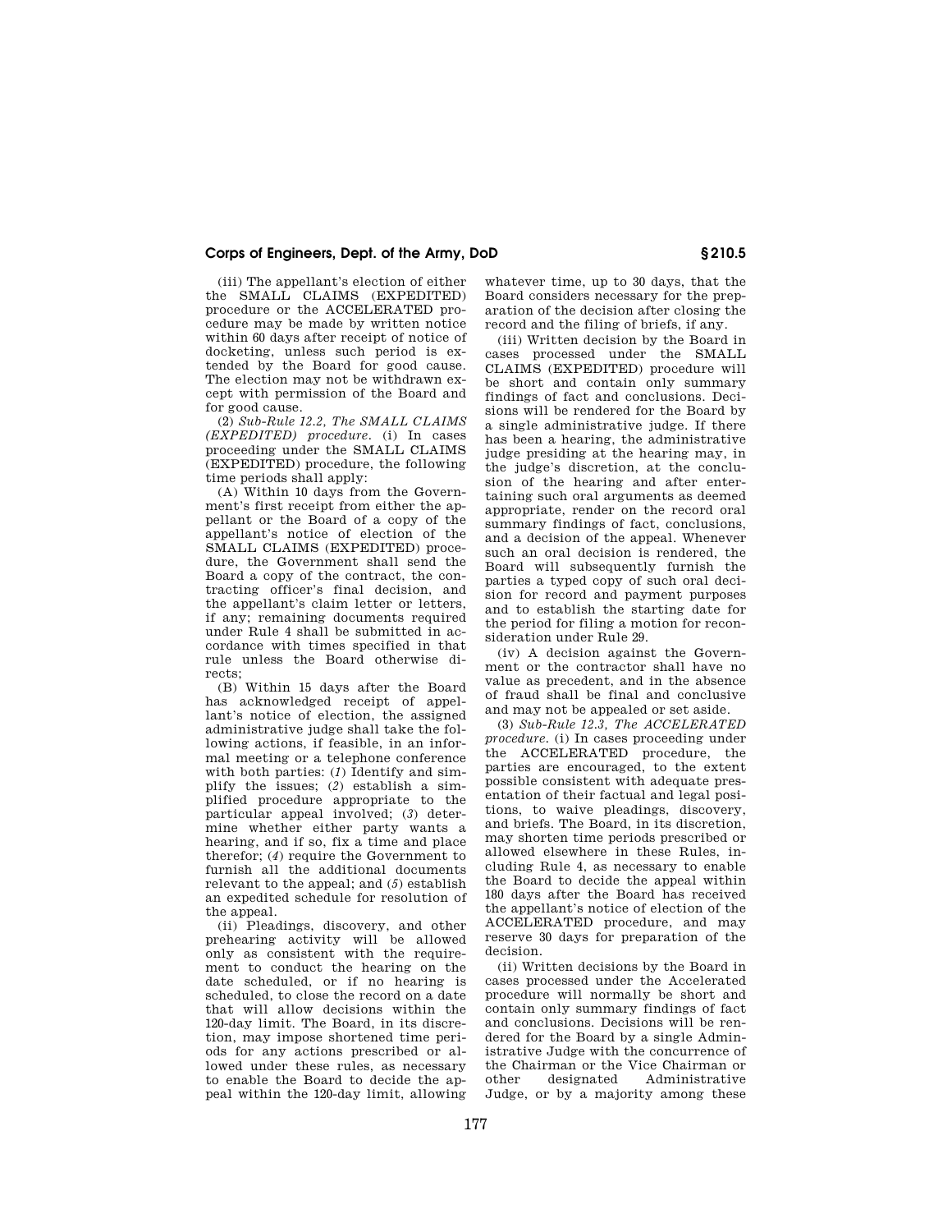(iii) The appellant's election of either the SMALL CLAIMS (EXPEDITED) procedure or the ACCELERATED procedure may be made by written notice within 60 days after receipt of notice of docketing, unless such period is extended by the Board for good cause. The election may not be withdrawn except with permission of the Board and for good cause.

(2) *Sub-Rule 12.2, The SMALL CLAIMS (EXPEDITED) procedure.* (i) In cases proceeding under the SMALL CLAIMS (EXPEDITED) procedure, the following time periods shall apply:

(A) Within 10 days from the Government's first receipt from either the appellant or the Board of a copy of the appellant's notice of election of the SMALL CLAIMS (EXPEDITED) procedure, the Government shall send the Board a copy of the contract, the contracting officer's final decision, and the appellant's claim letter or letters, if any; remaining documents required under Rule 4 shall be submitted in accordance with times specified in that rule unless the Board otherwise directs;

(B) Within 15 days after the Board has acknowledged receipt of appellant's notice of election, the assigned administrative judge shall take the following actions, if feasible, in an informal meeting or a telephone conference with both parties: (*1*) Identify and simplify the issues; (*2*) establish a simplified procedure appropriate to the particular appeal involved; (*3*) determine whether either party wants a hearing, and if so, fix a time and place therefor; (*4*) require the Government to furnish all the additional documents relevant to the appeal; and (*5*) establish an expedited schedule for resolution of the appeal.

(ii) Pleadings, discovery, and other prehearing activity will be allowed only as consistent with the requirement to conduct the hearing on the date scheduled, or if no hearing is scheduled, to close the record on a date that will allow decisions within the 120-day limit. The Board, in its discretion, may impose shortened time periods for any actions prescribed or allowed under these rules, as necessary to enable the Board to decide the appeal within the 120-day limit, allowing

whatever time, up to 30 days, that the Board considers necessary for the preparation of the decision after closing the record and the filing of briefs, if any.

(iii) Written decision by the Board in cases processed under the SMALL CLAIMS (EXPEDITED) procedure will be short and contain only summary findings of fact and conclusions. Decisions will be rendered for the Board by a single administrative judge. If there has been a hearing, the administrative judge presiding at the hearing may, in the judge's discretion, at the conclusion of the hearing and after entertaining such oral arguments as deemed appropriate, render on the record oral summary findings of fact, conclusions, and a decision of the appeal. Whenever such an oral decision is rendered, the Board will subsequently furnish the parties a typed copy of such oral decision for record and payment purposes and to establish the starting date for the period for filing a motion for reconsideration under Rule 29.

(iv) A decision against the Government or the contractor shall have no value as precedent, and in the absence of fraud shall be final and conclusive and may not be appealed or set aside.

(3) *Sub-Rule 12.3, The ACCELERATED procedure.* (i) In cases proceeding under the ACCELERATED procedure, the parties are encouraged, to the extent possible consistent with adequate presentation of their factual and legal positions, to waive pleadings, discovery, and briefs. The Board, in its discretion, may shorten time periods prescribed or allowed elsewhere in these Rules, including Rule 4, as necessary to enable the Board to decide the appeal within 180 days after the Board has received the appellant's notice of election of the ACCELERATED procedure, and may reserve 30 days for preparation of the decision.

(ii) Written decisions by the Board in cases processed under the Accelerated procedure will normally be short and contain only summary findings of fact and conclusions. Decisions will be rendered for the Board by a single Administrative Judge with the concurrence of the Chairman or the Vice Chairman or other designated Administrative Judge, or by a majority among these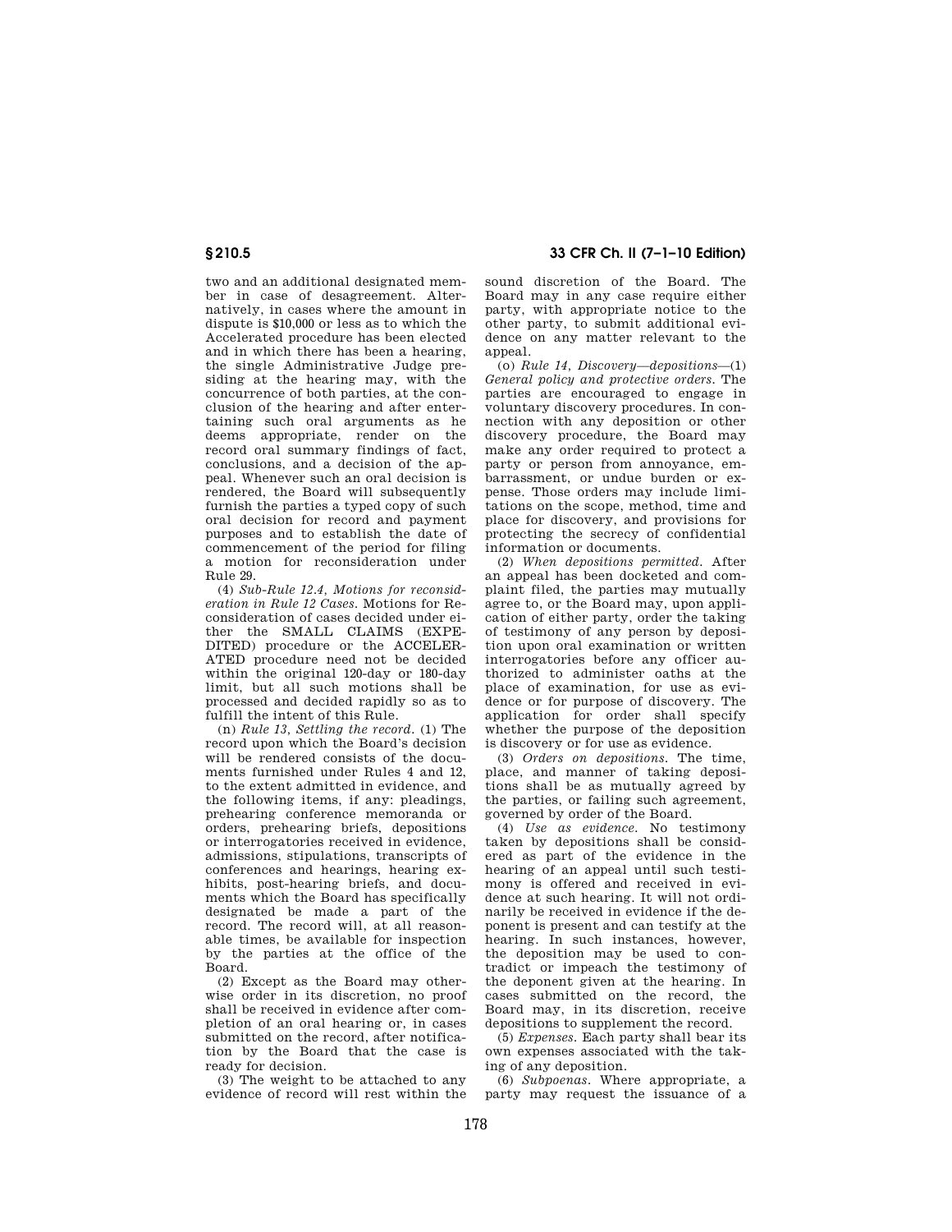two and an additional designated member in case of desagreement. Alternatively, in cases where the amount in dispute is \$10,000 or less as to which the Accelerated procedure has been elected and in which there has been a hearing, the single Administrative Judge presiding at the hearing may, with the concurrence of both parties, at the conclusion of the hearing and after entertaining such oral arguments as he deems appropriate, render on the record oral summary findings of fact, conclusions, and a decision of the appeal. Whenever such an oral decision is rendered, the Board will subsequently furnish the parties a typed copy of such oral decision for record and payment purposes and to establish the date of commencement of the period for filing a motion for reconsideration under Rule 29.

(4) *Sub-Rule 12.4, Motions for reconsideration in Rule 12 Cases.* Motions for Reconsideration of cases decided under either the SMALL CLAIMS (EXPE-DITED) procedure or the ACCELER-ATED procedure need not be decided within the original 120-day or 180-day limit, but all such motions shall be processed and decided rapidly so as to fulfill the intent of this Rule.

(n) *Rule 13, Settling the record.* (1) The record upon which the Board's decision will be rendered consists of the documents furnished under Rules 4 and 12, to the extent admitted in evidence, and the following items, if any: pleadings, prehearing conference memoranda or orders, prehearing briefs, depositions or interrogatories received in evidence, admissions, stipulations, transcripts of conferences and hearings, hearing exhibits, post-hearing briefs, and documents which the Board has specifically designated be made a part of the record. The record will, at all reasonable times, be available for inspection by the parties at the office of the Board.

(2) Except as the Board may otherwise order in its discretion, no proof shall be received in evidence after completion of an oral hearing or, in cases submitted on the record, after notification by the Board that the case is ready for decision.

(3) The weight to be attached to any evidence of record will rest within the

**§ 210.5 33 CFR Ch. II (7–1–10 Edition)** 

sound discretion of the Board. The Board may in any case require either party, with appropriate notice to the other party, to submit additional evidence on any matter relevant to the appeal.

(o) *Rule 14, Discovery—depositions*—(1) *General policy and protective orders.* The parties are encouraged to engage in voluntary discovery procedures. In connection with any deposition or other discovery procedure, the Board may make any order required to protect a party or person from annoyance, embarrassment, or undue burden or expense. Those orders may include limitations on the scope, method, time and place for discovery, and provisions for protecting the secrecy of confidential information or documents.

(2) *When depositions permitted.* After an appeal has been docketed and complaint filed, the parties may mutually agree to, or the Board may, upon application of either party, order the taking of testimony of any person by deposition upon oral examination or written interrogatories before any officer authorized to administer oaths at the place of examination, for use as evidence or for purpose of discovery. The application for order shall specify whether the purpose of the deposition is discovery or for use as evidence.

(3) *Orders on depositions.* The time, place, and manner of taking depositions shall be as mutually agreed by the parties, or failing such agreement, governed by order of the Board.

(4) *Use as evidence.* No testimony taken by depositions shall be considered as part of the evidence in the hearing of an appeal until such testimony is offered and received in evidence at such hearing. It will not ordinarily be received in evidence if the deponent is present and can testify at the hearing. In such instances, however, the deposition may be used to contradict or impeach the testimony of the deponent given at the hearing. In cases submitted on the record, the Board may, in its discretion, receive depositions to supplement the record.

(5) *Expenses.* Each party shall bear its own expenses associated with the taking of any deposition.

(6) *Subpoenas.* Where appropriate, a party may request the issuance of a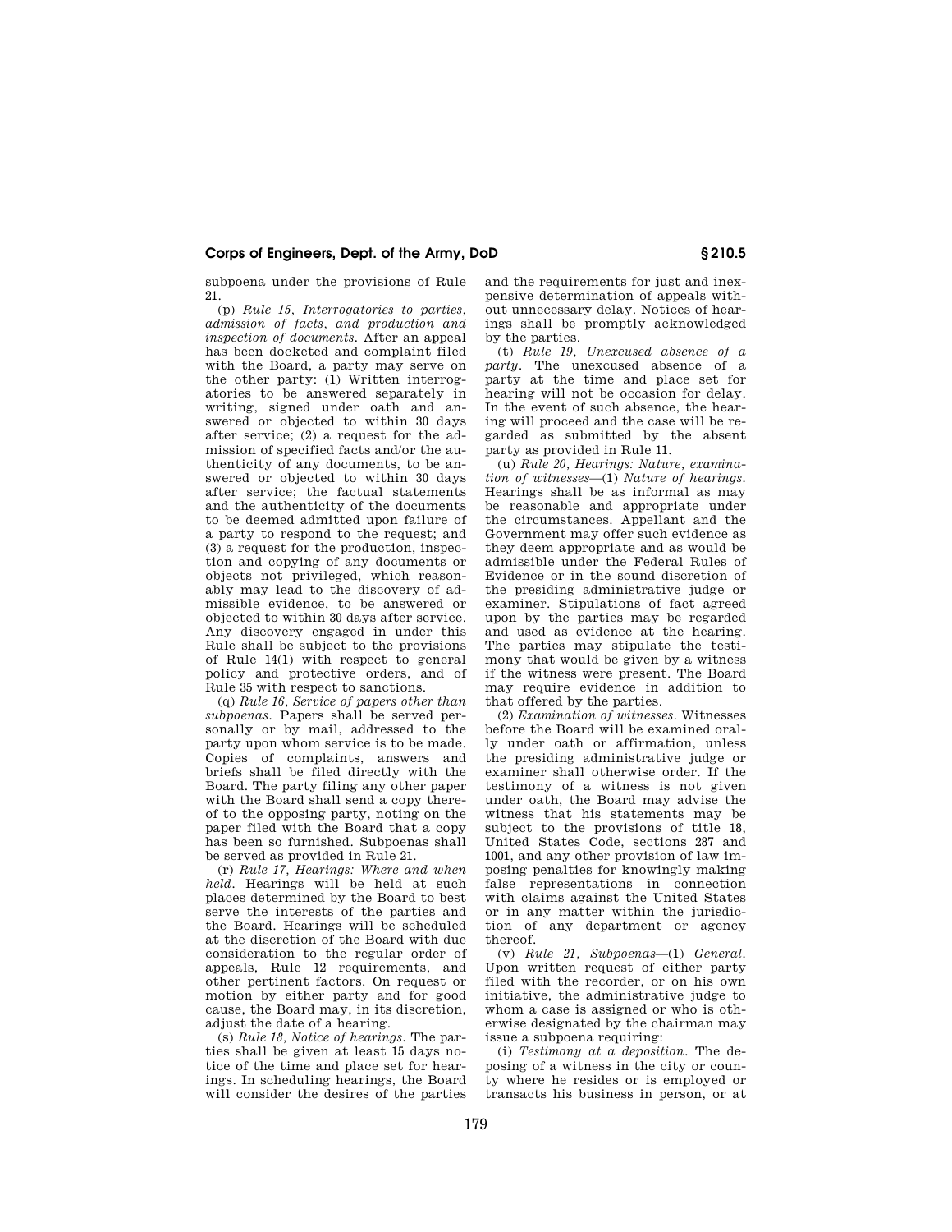subpoena under the provisions of Rule 21.

(p) *Rule 15, Interrogatories to parties, admission of facts, and production and inspection of documents.* After an appeal has been docketed and complaint filed with the Board, a party may serve on the other party: (1) Written interrogatories to be answered separately in writing, signed under oath and answered or objected to within 30 days after service; (2) a request for the admission of specified facts and/or the authenticity of any documents, to be answered or objected to within 30 days after service; the factual statements and the authenticity of the documents to be deemed admitted upon failure of a party to respond to the request; and (3) a request for the production, inspection and copying of any documents or objects not privileged, which reasonably may lead to the discovery of admissible evidence, to be answered or objected to within 30 days after service. Any discovery engaged in under this Rule shall be subject to the provisions of Rule 14(1) with respect to general policy and protective orders, and of Rule 35 with respect to sanctions.

(q) *Rule 16, Service of papers other than subpoenas.* Papers shall be served personally or by mail, addressed to the party upon whom service is to be made. Copies of complaints, answers and briefs shall be filed directly with the Board. The party filing any other paper with the Board shall send a copy thereof to the opposing party, noting on the paper filed with the Board that a copy has been so furnished. Subpoenas shall be served as provided in Rule 21.

(r) *Rule 17, Hearings: Where and when held.* Hearings will be held at such places determined by the Board to best serve the interests of the parties and the Board. Hearings will be scheduled at the discretion of the Board with due consideration to the regular order of appeals, Rule 12 requirements, and other pertinent factors. On request or motion by either party and for good cause, the Board may, in its discretion, adjust the date of a hearing.

(s) *Rule 18, Notice of hearings.* The parties shall be given at least 15 days notice of the time and place set for hearings. In scheduling hearings, the Board will consider the desires of the parties and the requirements for just and inexpensive determination of appeals without unnecessary delay. Notices of hearings shall be promptly acknowledged by the parties.

(t) *Rule 19, Unexcused absence of a party.* The unexcused absence of a party at the time and place set for hearing will not be occasion for delay. In the event of such absence, the hearing will proceed and the case will be regarded as submitted by the absent party as provided in Rule 11.

(u) *Rule 20, Hearings: Nature, examination of witnesses*—(1) *Nature of hearings.*  Hearings shall be as informal as may be reasonable and appropriate under the circumstances. Appellant and the Government may offer such evidence as they deem appropriate and as would be admissible under the Federal Rules of Evidence or in the sound discretion of the presiding administrative judge or examiner. Stipulations of fact agreed upon by the parties may be regarded and used as evidence at the hearing. The parties may stipulate the testimony that would be given by a witness if the witness were present. The Board may require evidence in addition to that offered by the parties.

(2) *Examination of witnesses.* Witnesses before the Board will be examined orally under oath or affirmation, unless the presiding administrative judge or examiner shall otherwise order. If the testimony of a witness is not given under oath, the Board may advise the witness that his statements may be subject to the provisions of title 18, United States Code, sections 287 and 1001, and any other provision of law imposing penalties for knowingly making false representations in connection with claims against the United States or in any matter within the jurisdiction of any department or agency thereof.

(v) *Rule 21, Subpoenas*—(1) *General.*  Upon written request of either party filed with the recorder, or on his own initiative, the administrative judge to whom a case is assigned or who is otherwise designated by the chairman may issue a subpoena requiring:

(i) *Testimony at a deposition.* The deposing of a witness in the city or county where he resides or is employed or transacts his business in person, or at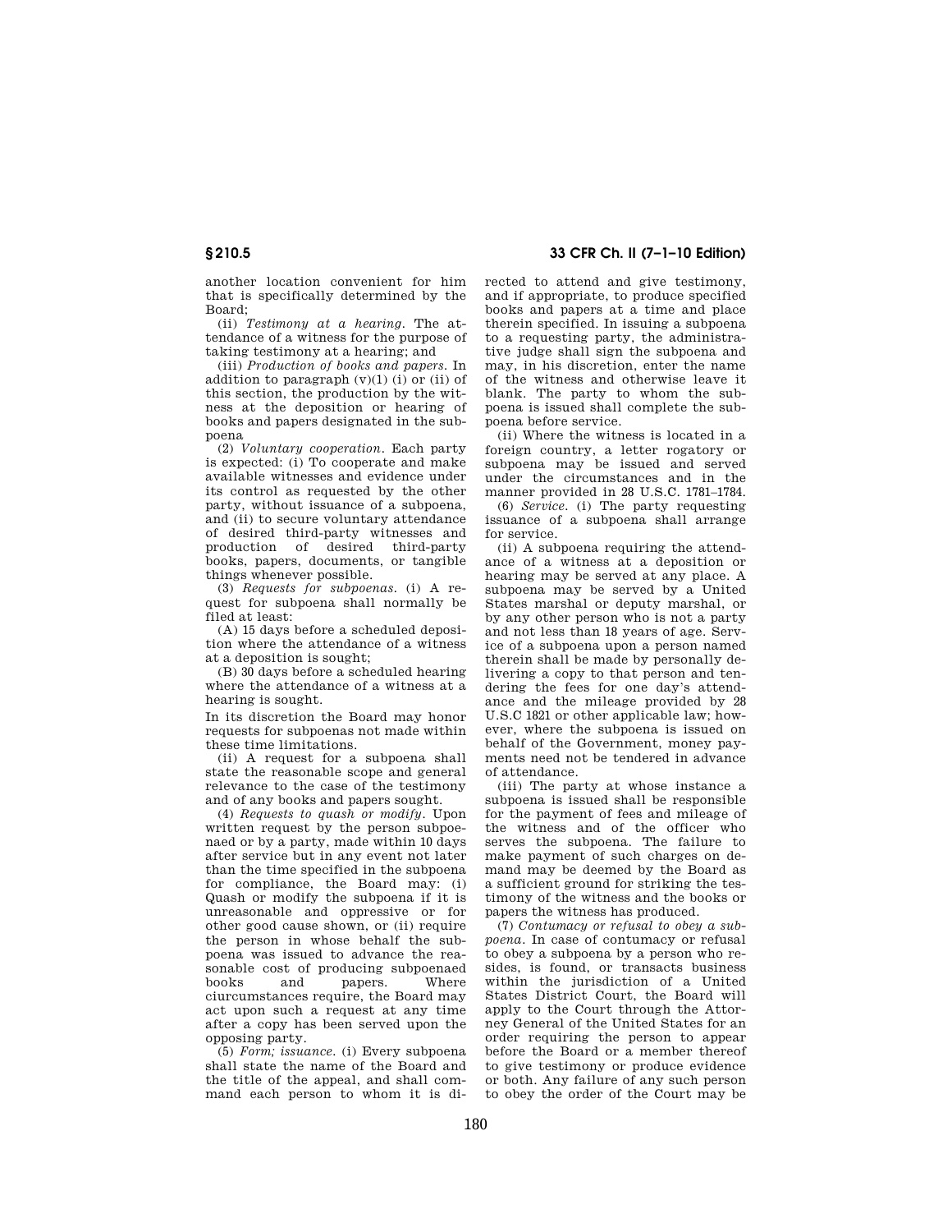another location convenient for him that is specifically determined by the Board;

(ii) *Testimony at a hearing.* The attendance of a witness for the purpose of taking testimony at a hearing; and

(iii) *Production of books and papers.* In addition to paragraph  $(v)(1)$  (i) or (ii) of this section, the production by the witness at the deposition or hearing of books and papers designated in the subpoena

(2) *Voluntary cooperation.* Each party is expected: (i) To cooperate and make available witnesses and evidence under its control as requested by the other party, without issuance of a subpoena, and (ii) to secure voluntary attendance of desired third-party witnesses and production of desired third-party books, papers, documents, or tangible things whenever possible.

(3) *Requests for subpoenas.* (i) A request for subpoena shall normally be filed at least:

(A) 15 days before a scheduled deposition where the attendance of a witness at a deposition is sought;

(B) 30 days before a scheduled hearing where the attendance of a witness at a hearing is sought.

In its discretion the Board may honor requests for subpoenas not made within these time limitations.

(ii) A request for a subpoena shall state the reasonable scope and general relevance to the case of the testimony and of any books and papers sought.

(4) *Requests to quash or modify.* Upon written request by the person subpoenaed or by a party, made within 10 days after service but in any event not later than the time specified in the subpoena for compliance, the Board may: (i) Quash or modify the subpoena if it is unreasonable and oppressive or for other good cause shown, or (ii) require the person in whose behalf the subpoena was issued to advance the reasonable cost of producing subpoenaed books and papers. Where ciurcumstances require, the Board may act upon such a request at any time after a copy has been served upon the opposing party.

(5) *Form; issuance.* (i) Every subpoena shall state the name of the Board and the title of the appeal, and shall command each person to whom it is di-

**§ 210.5 33 CFR Ch. II (7–1–10 Edition)** 

rected to attend and give testimony, and if appropriate, to produce specified books and papers at a time and place therein specified. In issuing a subpoena to a requesting party, the administrative judge shall sign the subpoena and may, in his discretion, enter the name of the witness and otherwise leave it blank. The party to whom the subpoena is issued shall complete the subpoena before service.

(ii) Where the witness is located in a foreign country, a letter rogatory or subpoena may be issued and served under the circumstances and in the manner provided in 28 U.S.C. 1781–1784.

(6) *Service.* (i) The party requesting issuance of a subpoena shall arrange for service.

(ii) A subpoena requiring the attendance of a witness at a deposition or hearing may be served at any place. A subpoena may be served by a United States marshal or deputy marshal, or by any other person who is not a party and not less than 18 years of age. Service of a subpoena upon a person named therein shall be made by personally delivering a copy to that person and tendering the fees for one day's attendance and the mileage provided by 28 U.S.C 1821 or other applicable law; however, where the subpoena is issued on behalf of the Government, money payments need not be tendered in advance of attendance.

(iii) The party at whose instance a subpoena is issued shall be responsible for the payment of fees and mileage of the witness and of the officer who serves the subpoena. The failure to make payment of such charges on demand may be deemed by the Board as a sufficient ground for striking the testimony of the witness and the books or papers the witness has produced.

(7) *Contumacy or refusal to obey a subpoena.* In case of contumacy or refusal to obey a subpoena by a person who resides, is found, or transacts business within the jurisdiction of a United States District Court, the Board will apply to the Court through the Attorney General of the United States for an order requiring the person to appear before the Board or a member thereof to give testimony or produce evidence or both. Any failure of any such person to obey the order of the Court may be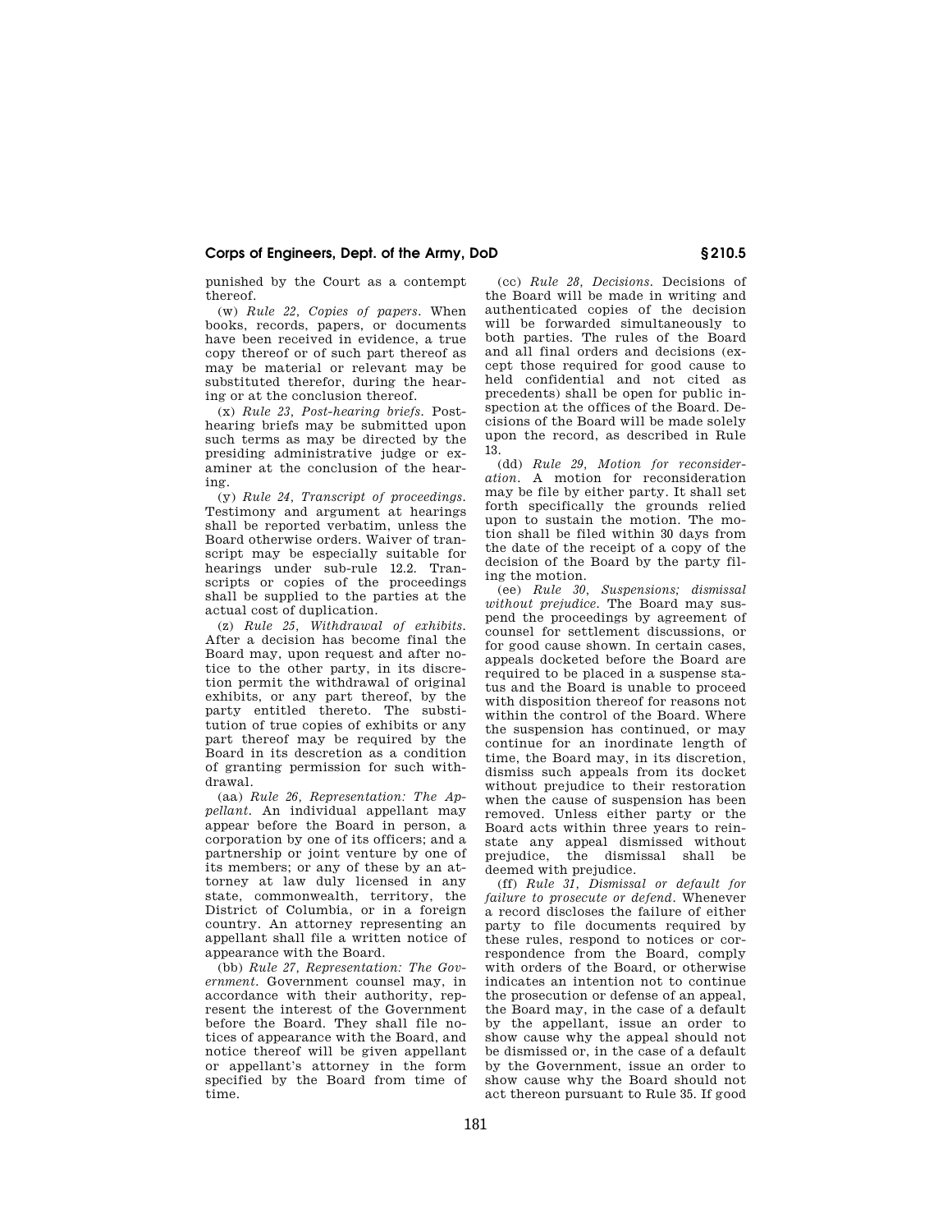punished by the Court as a contempt thereof.

(w) *Rule 22, Copies of papers.* When books, records, papers, or documents have been received in evidence, a true copy thereof or of such part thereof as may be material or relevant may be substituted therefor, during the hearing or at the conclusion thereof.

(x) *Rule 23, Post-hearing briefs.* Posthearing briefs may be submitted upon such terms as may be directed by the presiding administrative judge or examiner at the conclusion of the hearing.

(y) *Rule 24, Transcript of proceedings.*  Testimony and argument at hearings shall be reported verbatim, unless the Board otherwise orders. Waiver of transcript may be especially suitable for hearings under sub-rule 12.2. Transcripts or copies of the proceedings shall be supplied to the parties at the actual cost of duplication.

(z) *Rule 25, Withdrawal of exhibits.*  After a decision has become final the Board may, upon request and after notice to the other party, in its discretion permit the withdrawal of original exhibits, or any part thereof, by the party entitled thereto. The substitution of true copies of exhibits or any part thereof may be required by the Board in its descretion as a condition of granting permission for such withdrawal.

(aa) *Rule 26, Representation: The Appellant.* An individual appellant may appear before the Board in person, a corporation by one of its officers; and a partnership or joint venture by one of its members; or any of these by an attorney at law duly licensed in any state, commonwealth, territory, the District of Columbia, or in a foreign country. An attorney representing an appellant shall file a written notice of appearance with the Board.

(bb) *Rule 27, Representation: The Government.* Government counsel may, in accordance with their authority, represent the interest of the Government before the Board. They shall file notices of appearance with the Board, and notice thereof will be given appellant or appellant's attorney in the form specified by the Board from time of time.

(cc) *Rule 28, Decisions.* Decisions of the Board will be made in writing and authenticated copies of the decision will be forwarded simultaneously to both parties. The rules of the Board and all final orders and decisions (except those required for good cause to held confidential and not cited as precedents) shall be open for public inspection at the offices of the Board. Decisions of the Board will be made solely upon the record, as described in Rule 13.

(dd) *Rule 29, Motion for reconsideration.* A motion for reconsideration may be file by either party. It shall set forth specifically the grounds relied upon to sustain the motion. The motion shall be filed within 30 days from the date of the receipt of a copy of the decision of the Board by the party filing the motion.

(ee) *Rule 30, Suspensions; dismissal without prejudice.* The Board may suspend the proceedings by agreement of counsel for settlement discussions, or for good cause shown. In certain cases, appeals docketed before the Board are required to be placed in a suspense status and the Board is unable to proceed with disposition thereof for reasons not within the control of the Board. Where the suspension has continued, or may continue for an inordinate length of time, the Board may, in its discretion, dismiss such appeals from its docket without prejudice to their restoration when the cause of suspension has been removed. Unless either party or the Board acts within three years to reinstate any appeal dismissed without prejudice, the dismissal shall be deemed with prejudice.

(ff) *Rule 31, Dismissal or default for failure to prosecute or defend.* Whenever a record discloses the failure of either party to file documents required by these rules, respond to notices or correspondence from the Board, comply with orders of the Board, or otherwise indicates an intention not to continue the prosecution or defense of an appeal, the Board may, in the case of a default by the appellant, issue an order to show cause why the appeal should not be dismissed or, in the case of a default by the Government, issue an order to show cause why the Board should not act thereon pursuant to Rule 35. If good